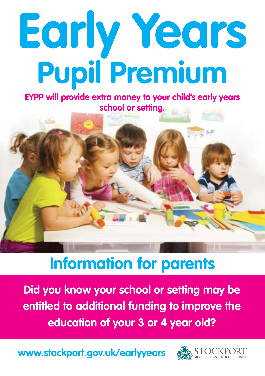# **Early Years Pupil Premium**

**EYPP will provide extra money to your child's early years school or setting.** 



# **Information for parents**

**Did you know your school or setting may be entitled to additional funding to improve the education of your 3 or 4 year old?** 

**www.stockport.gov.uk/earlyyears**